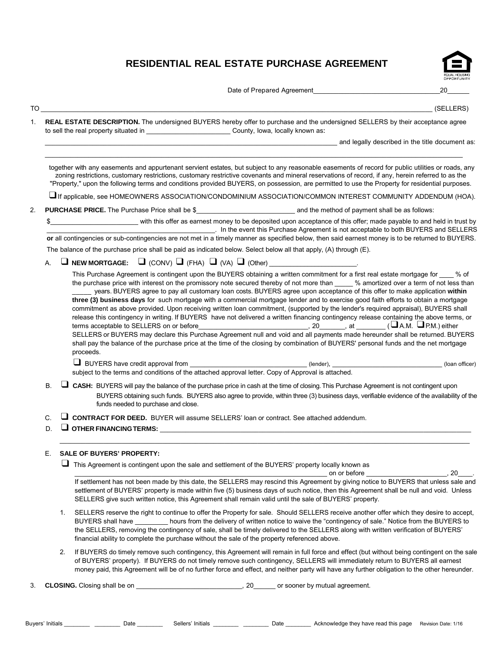# **RESIDENTIAL REAL ESTATE PURCHASE AGREEMENT**



Date of Prepared Agreement\_\_\_\_\_\_\_\_\_\_\_\_\_\_\_\_\_\_\_\_\_\_\_\_\_\_\_\_\_\_\_\_\_\_\_20\_\_\_\_\_\_

TO \_\_\_\_\_\_\_\_\_\_\_\_\_\_\_\_\_\_\_\_\_\_\_\_\_\_\_\_\_\_\_\_\_\_\_\_\_\_\_\_\_\_\_\_\_\_\_\_\_\_\_\_\_\_\_\_\_\_\_\_\_\_\_\_\_\_\_\_\_\_\_\_\_\_\_\_\_\_\_\_\_\_\_\_\_\_\_\_\_\_\_\_\_\_\_\_\_\_\_\_\_\_\_\_\_\_\_ (SELLERS)

1. **REAL ESTATE DESCRIPTION.** The undersigned BUYERS hereby offer to purchase and the undersigned SELLERS by their acceptance agree to sell the real property situated in \_\_\_\_\_\_\_\_\_\_\_\_\_\_\_\_\_\_\_\_\_\_\_\_\_\_\_\_\_\_\_\_County, Iowa, locally known as:

\_\_\_\_\_\_\_\_\_\_\_\_\_\_\_\_\_\_\_\_\_\_\_\_\_\_\_\_\_\_\_\_\_\_\_\_\_\_\_\_\_\_\_\_\_\_\_\_\_\_\_\_\_\_\_\_\_\_\_\_\_\_\_\_\_\_\_\_\_\_\_\_\_\_\_\_\_\_\_\_\_\_\_\_\_\_\_\_\_\_\_\_\_\_\_\_\_\_\_\_\_\_\_\_\_\_\_\_\_\_\_\_\_\_\_

\_\_\_\_\_\_\_\_\_\_\_\_\_\_\_\_\_\_\_\_\_\_\_\_\_\_\_\_\_\_\_\_\_\_\_\_\_\_\_\_\_\_\_\_\_\_\_\_\_\_\_\_\_\_\_\_\_\_\_\_\_\_\_\_\_\_\_\_\_\_\_\_\_\_\_\_\_\_\_\_ and legally described in the title document as:

together with any easements and appurtenant servient estates, but subject to any reasonable easements of record for public utilities or roads, any zoning restrictions, customary restrictions, customary restrictive covenants and mineral reservations of record, if any, herein referred to as the "Property," upon the following terms and conditions provided BUYERS, on possession, are permitted to use the Property for residential purposes.

 $\square$  If applicable, see HOMEOWNERS ASSOCIATION/CONDOMINIUM ASSOCIATION/COMMON INTEREST COMMUNITY ADDENDUM (HOA).

- 2. **PURCHASE PRICE.** The Purchase Price shall be \$\_\_\_\_\_\_\_\_\_\_\_\_\_\_\_\_\_\_\_\_\_\_\_\_\_\_\_ and the method of payment shall be as follows:
	- \$\_\_\_\_\_\_\_\_\_\_\_\_\_\_\_\_\_\_\_\_\_\_\_\_ with this offer as earnest money to be deposited upon acceptance of this offer; made payable to and held in trust by \_\_\_\_\_\_\_\_\_\_\_\_\_\_\_\_\_\_\_\_\_\_\_\_\_\_\_\_\_\_\_\_\_\_\_\_\_\_\_\_\_\_\_\_\_\_. In the event this Purchase Agreement is not acceptable to both BUYERS and SELLERS **or** all contingencies or sub-contingencies are not met in a timely manner as specified below, then said earnest money is to be returned to BUYERS.

The balance of the purchase price shall be paid as indicated below. Select below all that apply, (A) through (E).

## A.  $\Box$  **NEW MORTGAGE:**  $\Box$  (CONV)  $\Box$  (FHA)  $\Box$  (VA)  $\Box$  (Other)

This Purchase Agreement is contingent upon the BUYERS obtaining a written commitment for a first real estate mortgage for % of the purchase price with interest on the promissory note secured thereby of not more than \_\_\_\_\_ % amortized over a term of not less than \_\_\_\_\_ years. BUYERS agree to pay all customary loan costs. BUYERS agree upon acceptance of this offer to make application **within three (3) business days** for such mortgage with a commercial mortgage lender and to exercise good faith efforts to obtain a mortgage commitment as above provided. Upon receiving written loan commitment, (supported by the lender's required appraisal), BUYERS shall release this contingency in writing. If BUYERS have not delivered a written financing contingency release containing the above terms, or terms acceptable to SELLERS on or before\_\_\_\_\_\_\_\_\_\_\_\_\_\_\_\_\_\_\_\_\_\_\_\_\_\_\_\_\_\_, 20\_\_\_\_\_\_\_, at \_\_\_\_\_\_\_\_ (❑A.M. ❑P.M.) either SELLERS or BUYERS may declare this Purchase Agreement null and void and all payments made hereunder shall be returned. BUYERS

shall pay the balance of the purchase price at the time of the closing by combination of BUYERS' personal funds and the net mortgage proceeds.

❑ BUYERS have credit approval from \_\_\_\_\_\_\_\_\_\_\_\_\_\_\_\_\_\_\_\_\_\_\_\_\_\_\_\_\_\_\_\_ (lender), \_\_\_\_\_\_\_\_\_\_\_\_\_\_\_\_\_\_\_\_\_\_\_\_\_\_\_\_\_\_ (loan officer) subject to the terms and conditions of the attached approval letter. Copy of Approval is attached.

B. ❑ **CASH:** BUYERS will pay the balance of the purchase price in cash at the time of closing.This Purchase Agreement is not contingent upon BUYERS obtaining such funds. BUYERS also agree to provide, within three (3) business days, verifiable evidence of the availability of the funds needed to purchase and close.

\_\_\_\_\_\_\_\_\_\_\_\_\_\_\_\_\_\_\_\_\_\_\_\_\_\_\_\_\_\_\_\_\_\_\_\_\_\_\_\_\_\_\_\_\_\_\_\_\_\_\_\_\_\_\_\_\_\_\_\_\_\_\_\_\_\_\_\_\_\_\_\_\_\_\_\_\_\_\_\_\_\_\_\_\_\_\_\_\_\_\_\_\_\_\_\_\_\_\_\_\_\_\_\_\_\_\_\_\_\_\_\_

C. ❑ **CONTRACT FOR DEED.** BUYER will assume SELLERS' loan or contract. See attached addendum.

## D.  $\Box$  OTHER FINANCING TERMS:

#### E. **SALE OF BUYERS' PROPERTY:**

❑ This Agreement is contingent upon the sale and settlement of the BUYERS' property locally known as

\_\_\_\_\_\_\_\_\_\_\_\_\_\_\_\_\_\_\_\_\_\_\_\_\_\_\_\_\_\_\_\_\_\_\_\_\_\_\_\_\_\_\_\_\_\_\_\_\_\_\_\_\_\_\_\_\_\_\_\_\_\_\_\_\_\_\_\_\_ on or before \_\_\_\_\_\_\_\_\_\_\_\_\_\_\_\_\_\_\_\_\_\_, 20\_\_\_\_. If settlement has not been made by this date, the SELLERS may rescind this Agreement by giving notice to BUYERS that unless sale and settlement of BUYERS' property is made within five (5) business days of such notice, then this Agreement shall be null and void. Unless SELLERS give such written notice, this Agreement shall remain valid until the sale of BUYERS' property.

- 1. SELLERS reserve the right to continue to offer the Property for sale. Should SELLERS receive another offer which they desire to accept, BUYERS shall have \_\_\_\_\_\_\_\_\_ hours from the delivery of written notice to waive the "contingency of sale." Notice from the BUYERS to the SELLERS, removing the contingency of sale, shall be timely delivered to the SELLERS along with written verification of BUYERS' financial ability to complete the purchase without the sale of the property referenced above.
- 2. If BUYERS do timely remove such contingency, this Agreement will remain in full force and effect (but without being contingent on the sale of BUYERS' property). If BUYERS do not timely remove such contingency, SELLERS will immediately return to BUYERS all earnest money paid, this Agreement will be of no further force and effect, and neither party will have any further obligation to the other hereunder.
- 3. **CLOSING.** Closing shall be on **Exercise 20** and  $\overline{a}$ , 20 constant of some py mutual agreement.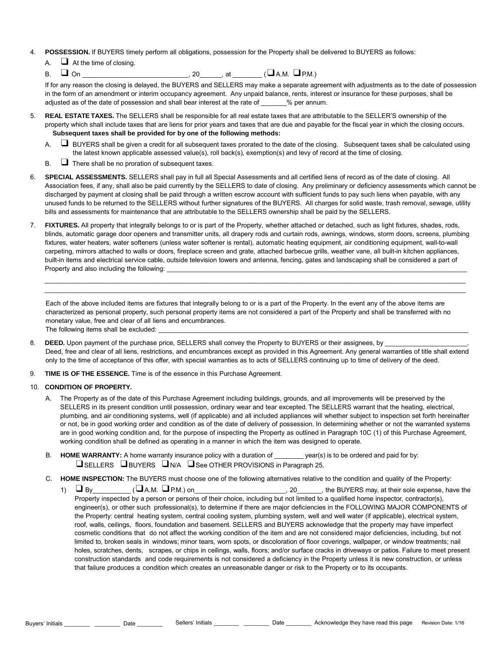- 4. **POSSESSION.** If BUYERS timely perform all obligations, possession for the Property shall be delivered to BUYERS as follows:
	- $\Box$  At the time of closing.
	- $B.$   $\square$  On \_\_\_\_\_\_\_\_\_\_\_\_\_\_\_\_\_\_\_\_\_\_\_\_\_\_\_\_, 20\_\_\_\_\_\_, at \_\_\_\_\_\_\_\_\_ ( $\square$  A.M.  $\square$  P.M.)

If for any reason the closing is delayed, the BUYERS and SELLERS may make a separate agreement with adjustments as to the date of possession in the form of an amendment or interim occupancy agreement. Any unpaid balance, rents, interest or insurance for these purposes, shall be adjusted as of the date of possession and shall bear interest at the rate of  $\%$  per annum.

- 5. **REAL ESTATE TAXES.** The SELLERS shall be responsible for all real estate taxes that are attributable to the SELLER'S ownership of the property which shall include taxes that are liens for prior years and taxes that are due and payable for the fiscal year in which the closing occurs. **Subsequent taxes shall be provided for by one of the following methods:**
	- A. ❑ BUYERS shall be given a credit for all subsequent taxes prorated to the date of the closing. Subsequent taxes shall be calculated using the latest known applicable assessed value(s), roll back(s), exemption(s) and levy of record at the time of closing.
	- $\mathsf{B}$ .  $\Box$  There shall be no proration of subsequent taxes.
- 6. **SPECIAL ASSESSMENTS.** SELLERS shall pay in full all Special Assessments and all certified liens of record as of the date of closing. All Association fees, if any, shall also be paid currently by the SELLERS to date of closing. Any preliminary or deficiency assessments which cannot be discharged by payment at closing shall be paid through a written escrow account with sufficient funds to pay such liens when payable, with any unused funds to be returned to the SELLERS without further signatures of the BUYERS. All charges for solid waste, trash removal, sewage, utility bills and assessments for maintenance that are attributable to the SELLERS ownership shall be paid by the SELLERS.
- 7. **FIXTURES.** All property that integrally belongs to or is part of the Property, whether attached or detached, such as light fixtures, shades, rods, blinds, automatic garage door openers and transmitter units, all drapery rods and curtain rods, awnings, windows, storm doors, screens, plumbing fixtures, water heaters, water softeners (unless water softener is rental), automatic heating equipment, air conditioning equipment, wall-to-wall carpeting, mirrors attached to walls or doors, fireplace screen and grate, attached barbecue grills, weather vane, all built-in kitchen appliances, built-in items and electrical service cable, outside television towers and antenna, fencing, gates and landscaping shall be considered a part of Property and also including the following:

\_\_\_\_\_\_\_\_\_\_\_\_\_\_\_\_\_\_\_\_\_\_\_\_\_\_\_\_\_\_\_\_\_\_\_\_\_\_\_\_\_\_\_\_\_\_\_\_\_\_\_\_\_\_\_\_\_\_\_\_\_\_\_\_\_\_\_\_\_\_\_\_\_\_\_\_\_\_\_\_\_\_\_\_\_\_\_\_\_\_\_\_\_\_\_\_\_\_\_\_\_\_\_\_\_\_\_\_\_\_\_\_\_\_\_ \_\_\_\_\_\_\_\_\_\_\_\_\_\_\_\_\_\_\_\_\_\_\_\_\_\_\_\_\_\_\_\_\_\_\_\_\_\_\_\_\_\_\_\_\_\_\_\_\_\_\_\_\_\_\_\_\_\_\_\_\_\_\_\_\_\_\_\_\_\_\_\_\_\_\_\_\_\_\_\_\_\_\_\_\_\_\_\_\_\_\_\_\_\_\_\_\_\_\_\_\_\_\_\_\_\_\_\_\_\_\_\_\_\_\_

Each of the above included items are fixtures that integrally belong to or is a part of the Property. In the event any of the above items are characterized as personal property, such personal property items are not considered a part of the Property and shall be transferred with no monetary value, free and clear of all liens and encumbrances. The following items shall be excluded:

- 8. DEED. Upon payment of the purchase price, SELLERS shall convey the Property to BUYERS or their assignees, by Deed, free and clear of all liens, restrictions, and encumbrances except as provided in this Agreement. Any general warranties of title shall extend only to the time of acceptance of this offer, with special warranties as to acts of SELLERS continuing up to time of delivery of the deed.
- 9. **TIME IS OF THE ESSENCE.** Time is of the essence in this Purchase Agreement.

## 10. **CONDITION OF PROPERTY.**

- A. The Property as of the date of this Purchase Agreement including buildings, grounds, and all improvements will be preserved by the SELLERS in its present condition until possession, ordinary wear and tear excepted. The SELLERS warrant that the heating, electrical, plumbing, and air conditioning systems, well (if applicable) and all included appliances will whether subject to inspection set forth hereinafter or not, be in good working order and condition as of the date of delivery of possession. In determining whether or not the warranted systems are in good working condition and, for the purpose of inspecting the Property as outlined in Paragraph 10C (1) of this Purchase Agreement, working condition shall be defined as operating in a manner in which the item was designed to operate.
- B. **HOME WARRANTY:** A home warranty insurance policy with a duration of \_\_\_\_\_\_\_\_ year(s) is to be ordered and paid for by: ❑SELLERS ❑BUYERS ❑N/A ❑See OTHER PROVISIONS in Paragraph 25.
- C. **HOME INSPECTION:** The BUYERS must choose one of the following alternatives relative to the condition and quality of the Property:
	- 1)  $\Box$  By\_\_\_\_\_\_\_\_\_\_\_\_ ( $\Box$ A.M.  $\Box$  P.M.) on\_\_\_\_\_\_\_\_\_\_\_\_\_\_\_\_\_\_\_\_\_\_\_\_\_\_\_\_\_\_\_\_\_\_\_, the BUYERS may, at their sole expense, have the Property inspected by a person or persons of their choice, including but not limited to a qualified home inspector, contractor(s), engineer(s), or other such professional(s), to determine if there are major deficiencies in the FOLLOWING MAJOR COMPONENTS of the Property: central heating system, central cooling system, plumbing system, well and well water (if applicable), electrical system, roof, walls, ceilings, floors, foundation and basement. SELLERS and BUYERS acknowledge that the property may have imperfect cosmetic conditions that do not affect the working condition of the item and are not considered major deficiencies, including, but not limited to, broken seals in windows; minor tears, worn spots, or discoloration of floor coverings, wallpaper, or window treatments; nail holes, scratches, dents, scrapes, or chips in ceilings, walls, floors; and/or surface cracks in driveways or patios. Failure to meet present construction standards and code requirements is not considered a deficiency in the Property unless it is new construction, or unless that failure produces a condition which creates an unreasonable danger or risk to the Property or to its occupants.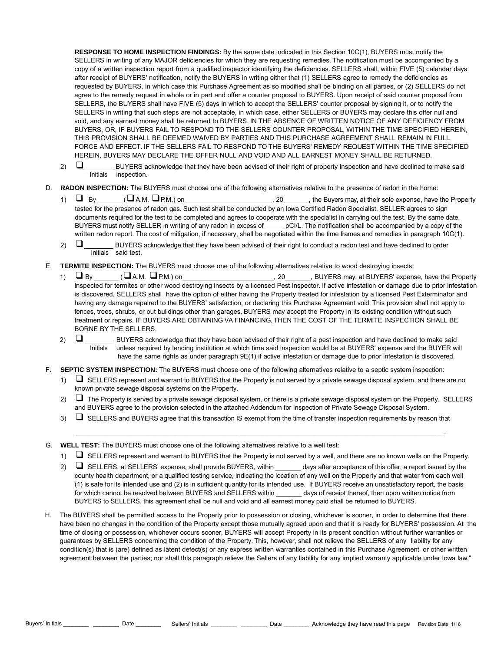**RESPONSE TO HOME INSPECTION FINDINGS:** By the same date indicated in this Section 10C(1), BUYERS must notify the SELLERS in writing of any MAJOR deficiencies for which they are requesting remedies. The notification must be accompanied by a copy of a written inspection report from a qualified inspector identifying the deficiencies. SELLERS shall, within FIVE (5) calendar days after receipt of BUYERS' notification, notify the BUYERS in writing either that (1) SELLERS agree to remedy the deficiencies as requested by BUYERS, in which case this Purchase Agreement as so modified shall be binding on all parties, or (2) SELLERS do not agree to the remedy request in whole or in part and offer a counter proposal to BUYERS. Upon receipt of said counter proposal from SELLERS, the BUYERS shall have FIVE (5) days in which to accept the SELLERS' counter proposal by signing it, or to notify the SELLERS in writing that such steps are not acceptable, in which case, either SELLERS or BUYERS may declare this offer null and void, and any earnest money shall be returned to BUYERS. IN THE ABSENCE OF WRITTEN NOTICE OF ANY DEFICIENCY FROM BUYERS, OR, IF BUYERS FAIL TO RESPOND TO THE SELLERS COUNTER PROPOSAL, WITHIN THE TIME SPECIFIED HEREIN, THIS PROVISION SHALL BE DEEMED WAIVED BY PARTIES AND THIS PURCHASE AGREEMENT SHALL REMAIN IN FULL FORCE AND EFFECT. IF THE SELLERS FAIL TO RESPOND TO THE BUYERS' REMEDY REQUEST WITHIN THE TIME SPECIFIED HEREIN, BUYERS MAY DECLARE THE OFFER NULL AND VOID AND ALL EARNEST MONEY SHALL BE RETURNED.

- 2) ❑\_\_\_\_\_\_\_\_ BUYERS acknowledge that they have been advised of their right of property inspection and have declined to make said Initials inspection.
- D. **RADON INSPECTION:** The BUYERS must choose one of the following alternatives relative to the presence of radon in the home:
	- 1) ❑ By \_\_\_\_\_\_\_ (❑A.M. ❑P.M.) on\_\_\_\_\_\_\_\_\_\_\_\_\_\_\_\_\_\_\_\_\_\_\_\_, 20\_\_\_\_\_\_\_, the Buyers may, at their sole expense, have the Property tested for the presence of radon gas. Such test shall be conducted by an Iowa Certified Radon Specialist. SELLER agrees to sign documents required for the test to be completed and agrees to cooperate with the specialist in carrying out the test. By the same date, BUYERS must notify SELLER in writing of any radon in excess of \_\_\_\_\_ pCI/L. The notification shall be accompanied by a copy of the written radon report. The cost of mitigation, if necessary, shall be negotiated within the time frames and remedies in paragraph 10C(1).
	- 2)  $\Box$  BUYERS acknowledge that they have been advised of their right to conduct a radon test and have declined to order Initials said test.
- E. **TERMITE INSPECTION:** The BUYERS must choose one of the following alternatives relative to wood destroying insects:
	- 1)  $\Box$  By  $\Box$  ( $\Box$ A.M.  $\Box$  P.M.) on  $\Box$  . 20  $\Box$  BUYERS may, at BUYERS' expense, have the Property inspected for termites or other wood destroying insects by a licensed Pest Inspector. If active infestation or damage due to prior infestation is discovered, SELLERS shall have the option of either having the Property treated for infestation by a licensed Pest Exterminator and having any damage repaired to the BUYERS' satisfaction, or declaring this Purchase Agreement void. This provision shall not apply to fences, trees, shrubs, or out buildings other than garages. BUYERS may accept the Property in its existing condition without such treatment or repairs. IF BUYERS ARE OBTAINING VA FINANCING, THEN THE COST OF THE TERMITE INSPECTION SHALL BE BORNE BY THE SELLERS.
	- 2)  $\Box$  BUYERS acknowledge that they have been advised of their right of a pest inspection and have declined to make said<br>Initials unless required by lending institution at which time said inspection would be at BUYERS' e unless required by lending institution at which time said inspection would be at BUYERS' expense and the BUYER will have the same rights as under paragraph  $9E(1)$  if active infestation or damage due to prior infestation is discovered.
- F. **SEPTIC SYSTEM INSPECTION:** The BUYERS must choose one of the following alternatives relative to a septic system inspection:
	- 1) ❑ SELLERS represent and warrant to BUYERS that the Property is not served by a private sewage disposal system, and there are no known private sewage disposal systems on the Property.
	- 2) ❑ The Property is served by a private sewage disposal system, or there is a private sewage disposal system on the Property. SELLERS and BUYERS agree to the provision selected in the attached Addendum for Inspection of Private Sewage Disposal System.
	- $3)$   $\square$  SELLERS and BUYERS agree that this transaction IS exempt from the time of transfer inspection requirements by reason that

\_\_\_\_\_\_\_\_\_\_\_\_\_\_\_\_\_\_\_\_\_\_\_\_\_\_\_\_\_\_\_\_\_\_\_\_\_\_\_\_\_\_\_\_\_\_\_\_\_\_\_\_\_\_\_\_\_\_\_\_\_\_\_\_\_\_\_\_\_\_\_\_\_\_\_\_\_\_\_\_\_\_\_\_\_\_\_\_\_\_\_\_\_\_\_\_\_\_\_\_\_.

- G. **WELL TEST:** The BUYERS must choose one of the following alternatives relative to a well test:
	- 1) ❑ SELLERS represent and warrant to BUYERS that the Property is not served by a well, and there are no known wells on the Property.
	- 2)  $\Box$  SELLERS, at SELLERS' expense, shall provide BUYERS, within days after acceptance of this offer, a report issued by the county health department, or a qualified testing service, indicating the location of any well on the Property and that water from each well (1) is safe for its intended use and (2) is in sufficient quantity for its intended use. If BUYERS receive an unsatisfactory report, the basis for which cannot be resolved between BUYERS and SELLERS within days of receipt thereof, then upon written notice from BUYERS to SELLERS, this agreement shall be null and void and all earnest money paid shall be returned to BUYERS.
- H. The BUYERS shall be permitted access to the Property prior to possession or closing, whichever is sooner, in order to determine that there have been no changes in the condition of the Property except those mutually agreed upon and that it is ready for BUYERS' possession. At the time of closing or possession, whichever occurs sooner, BUYERS will accept Property in its present condition without further warranties or guarantees by SELLERS concerning the condition of the Property. This, however, shall not relieve the SELLERS of any liability for any condition(s) that is (are) defined as latent defect(s) or any express written warranties contained in this Purchase Agreement or other written agreement between the parties; nor shall this paragraph relieve the Sellers of any liability for any implied warranty applicable under Iowa law."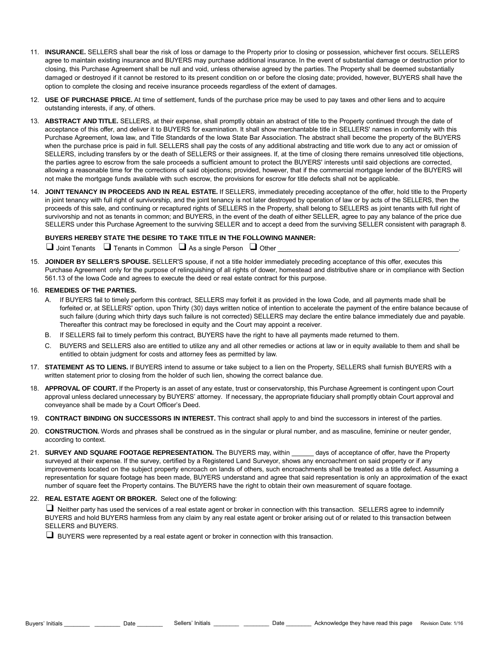- 11. **INSURANCE.** SELLERS shall bear the risk of loss or damage to the Property prior to closing or possession, whichever first occurs. SELLERS agree to maintain existing insurance and BUYERS may purchase additional insurance. In the event of substantial damage or destruction prior to closing, this Purchase Agreement shall be null and void, unless otherwise agreed by the parties. The Property shall be deemed substantially damaged or destroyed if it cannot be restored to its present condition on or before the closing date; provided, however, BUYERS shall have the option to complete the closing and receive insurance proceeds regardless of the extent of damages.
- 12. **USE OF PURCHASE PRICE.** At time of settlement, funds of the purchase price may be used to pay taxes and other liens and to acquire outstanding interests, if any, of others.
- 13. **ABSTRACT AND TITLE.** SELLERS, at their expense, shall promptly obtain an abstract of title to the Property continued through the date of acceptance of this offer, and deliver it to BUYERS for examination. It shall show merchantable title in SELLERS' names in conformity with this Purchase Agreement, Iowa law, and Title Standards of the Iowa State Bar Association. The abstract shall become the property of the BUYERS when the purchase price is paid in full. SELLERS shall pay the costs of any additional abstracting and title work due to any act or omission of SELLERS, including transfers by or the death of SELLERS or their assignees. If, at the time of closing there remains unresolved title objections, the parties agree to escrow from the sale proceeds a sufficient amount to protect the BUYERS' interests until said objections are corrected, allowing a reasonable time for the corrections of said objections; provided, however, that if the commercial mortgage lender of the BUYERS will not make the mortgage funds available with such escrow, the provisions for escrow for title defects shall not be applicable.
- 14. **JOINT TENANCY IN PROCEEDS AND IN REAL ESTATE.** If SELLERS, immediately preceding acceptance of the offer, hold title to the Property in joint tenancy with full right of survivorship, and the joint tenancy is not later destroyed by operation of law or by acts of the SELLERS, then the proceeds of this sale, and continuing or recaptured rights of SELLERS in the Property, shall belong to SELLERS as joint tenants with full right of survivorship and not as tenants in common; and BUYERS, in the event of the death of either SELLER, agree to pay any balance of the price due SELLERS under this Purchase Agreement to the surviving SELLER and to accept a deed from the surviving SELLER consistent with paragraph 8.

### **BUYERS HEREBY STATE THE DESIRE TO TAKE TITLE IN THE FOLLOWING MANNER:**

 $\Box$  Joint Tenants  $\Box$  Tenants in Common  $\Box$  As a single Person  $\Box$  Other

15. **JOINDER BY SELLER'S SPOUSE.** SELLER'S spouse, if not a title holder immediately preceding acceptance of this offer, executes this Purchase Agreement only for the purpose of relinquishing of all rights of dower, homestead and distributive share or in compliance with Section 561.13 of the Iowa Code and agrees to execute the deed or real estate contract for this purpose.

#### 16. **REMEDIES OF THE PARTIES.**

- A. If BUYERS fail to timely perform this contract, SELLERS may forfeit it as provided in the Iowa Code, and all payments made shall be forfeited or, at SELLERS' option, upon Thirty (30) days written notice of intention to accelerate the payment of the entire balance because of such failure (during which thirty days such failure is not corrected) SELLERS may declare the entire balance immediately due and payable. Thereafter this contract may be foreclosed in equity and the Court may appoint a receiver.
- B. If SELLERS fail to timely perform this contract, BUYERS have the right to have all payments made returned to them.
- C. BUYERS and SELLERS also are entitled to utilize any and all other remedies or actions at law or in equity available to them and shall be entitled to obtain judgment for costs and attorney fees as permitted by law.
- 17. **STATEMENT AS TO LIENS.** If BUYERS intend to assume or take subject to a lien on the Property, SELLERS shall furnish BUYERS with a written statement prior to closing from the holder of such lien, showing the correct balance due.
- 18. **APPROVAL OF COURT.** If the Property is an asset of any estate, trust or conservatorship, this Purchase Agreement is contingent upon Court approval unless declared unnecessary by BUYERS' attorney. If necessary, the appropriate fiduciary shall promptly obtain Court approval and conveyance shall be made by a Court Officer's Deed.
- 19. **CONTRACT BINDING ON SUCCESSORS IN INTEREST.** This contract shall apply to and bind the successors in interest of the parties.
- 20. **CONSTRUCTION.** Words and phrases shall be construed as in the singular or plural number, and as masculine, feminine or neuter gender, according to context.
- 21. **SURVEY AND SQUARE FOOTAGE REPRESENTATION.** The BUYERS may, within \_\_\_\_\_\_ days of acceptance of offer, have the Property surveyed at their expense. If the survey, certified by a Registered Land Surveyor, shows any encroachment on said property or if any improvements located on the subject property encroach on lands of others, such encroachments shall be treated as a title defect. Assuming a representation for square footage has been made, BUYERS understand and agree that said representation is only an approximation of the exact number of square feet the Property contains. The BUYERS have the right to obtain their own measurement of square footage.

#### 22. **REAL ESTATE AGENT OR BROKER.** Select one of the following:

❑ Neither party has used the services of a real estate agent or broker in connection with this transaction. SELLERS agree to indemnify BUYERS and hold BUYERS harmless from any claim by any real estate agent or broker arising out of or related to this transaction between SELLERS and BUYERS.

❑ BUYERS were represented by a real estate agent or broker in connection with this transaction.